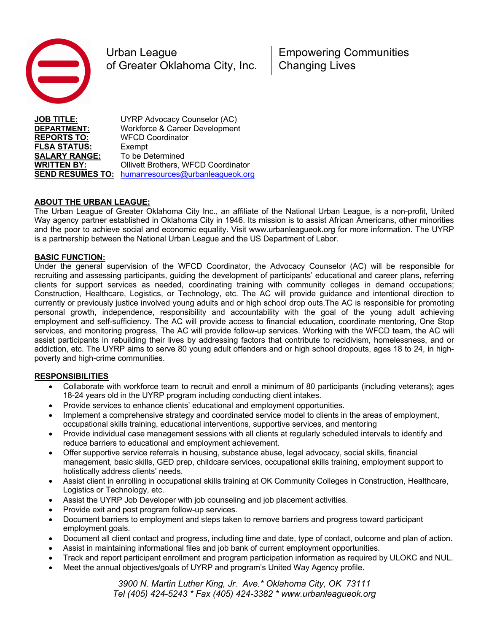

Urban League **Empowering Communities** of Greater Oklahoma City, Inc. | Changing Lives

**JOB TITLE:** UYRP Advocacy Counselor (AC) **DEPARTMENT:** Workforce & Career Development **REPORTS TO:** WFCD Coordinator **FLSA STATUS:** Exempt **SALARY RANGE:** To be Determined **WRITTEN BY:** Ollivett Brothers, WFCD Coordinator **SEND RESUMES TO:** humanresources@urbanleagueok.org

## **ABOUT THE URBAN LEAGUE:**

The Urban League of Greater Oklahoma City Inc., an affiliate of the National Urban League, is a non-profit, United Way agency partner established in Oklahoma City in 1946. Its mission is to assist African Americans, other minorities and the poor to achieve social and economic equality. Visit www.urbanleagueok.org for more information. The UYRP is a partnership between the National Urban League and the US Department of Labor.

## **BASIC FUNCTION:**

Under the general supervision of the WFCD Coordinator, the Advocacy Counselor (AC) will be responsible for recruiting and assessing participants, guiding the development of participants' educational and career plans, referring clients for support services as needed, coordinating training with community colleges in demand occupations; Construction, Healthcare, Logistics, or Technology, etc. The AC will provide guidance and intentional direction to currently or previously justice involved young adults and or high school drop outs.The AC is responsible for promoting personal growth, independence, responsibility and accountability with the goal of the young adult achieving employment and self-sufficiency. The AC will provide access to financial education, coordinate mentoring, One Stop services, and monitoring progress, The AC will provide follow-up services. Working with the WFCD team, the AC will assist participants in rebuilding their lives by addressing factors that contribute to recidivism, homelessness, and or addiction, etc. The UYRP aims to serve 80 young adult offenders and or high school dropouts, ages 18 to 24, in highpoverty and high-crime communities.

## **RESPONSIBILITIES**

- Collaborate with workforce team to recruit and enroll a minimum of 80 participants (including veterans); ages 18-24 years old in the UYRP program including conducting client intakes.
- Provide services to enhance clients' educational and employment opportunities.
- Implement a comprehensive strategy and coordinated service model to clients in the areas of employment, occupational skills training, educational interventions, supportive services, and mentoring
- Provide individual case management sessions with all clients at regularly scheduled intervals to identify and reduce barriers to educational and employment achievement.
- Offer supportive service referrals in housing, substance abuse, legal advocacy, social skills, financial management, basic skills, GED prep, childcare services, occupational skills training, employment support to holistically address clients' needs.
- Assist client in enrolling in occupational skills training at OK Community Colleges in Construction, Healthcare, Logistics or Technology, etc.
- Assist the UYRP Job Developer with job counseling and job placement activities.
- Provide exit and post program follow-up services.
- Document barriers to employment and steps taken to remove barriers and progress toward participant employment goals.
- Document all client contact and progress, including time and date, type of contact, outcome and plan of action.
- Assist in maintaining informational files and job bank of current employment opportunities.
- Track and report participant enrollment and program participation information as required by ULOKC and NUL.
- Meet the annual objectives/goals of UYRP and program's United Way Agency profile.

*3900 N. Martin Luther King, Jr. Ave.\* Oklahoma City, OK 73111 Tel (405) 424-5243 \* Fax (405) 424-3382 \* www.urbanleagueok.org*